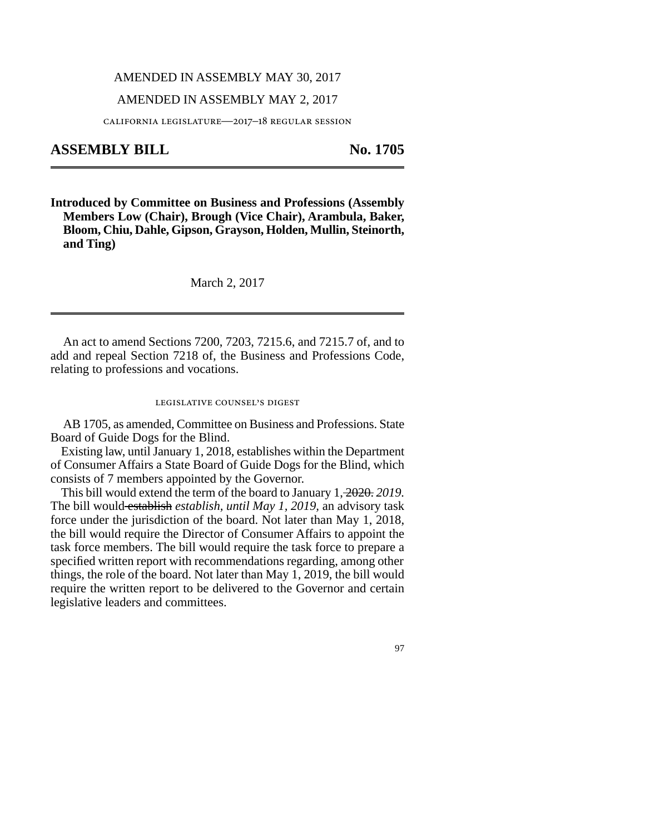# AMENDED IN ASSEMBLY MAY 30, 2017

## AMENDED IN ASSEMBLY MAY 2, 2017

california legislature—2017–18 regular session

# **ASSEMBLY BILL No. 1705**

**Introduced by Committee on Business and Professions (Assembly Members Low (Chair), Brough (Vice Chair), Arambula, Baker, Bloom, Chiu, Dahle, Gipson, Grayson, Holden, Mullin, Steinorth, and Ting)**

### March 2, 2017

An act to amend Sections 7200, 7203, 7215.6, and 7215.7 of, and to add and repeal Section 7218 of, the Business and Professions Code, relating to professions and vocations.

#### legislative counsel's digest

AB 1705, as amended, Committee on Business and Professions. State Board of Guide Dogs for the Blind.

Existing law, until January 1, 2018, establishes within the Department of Consumer Affairs a State Board of Guide Dogs for the Blind, which consists of 7 members appointed by the Governor.

This bill would extend the term of the board to January 1, 2020. *2019.* The bill would establish *establish, until May 1, 2019,* an advisory task force under the jurisdiction of the board. Not later than May 1, 2018, the bill would require the Director of Consumer Affairs to appoint the task force members. The bill would require the task force to prepare a specified written report with recommendations regarding, among other things, the role of the board. Not later than May 1, 2019, the bill would require the written report to be delivered to the Governor and certain legislative leaders and committees.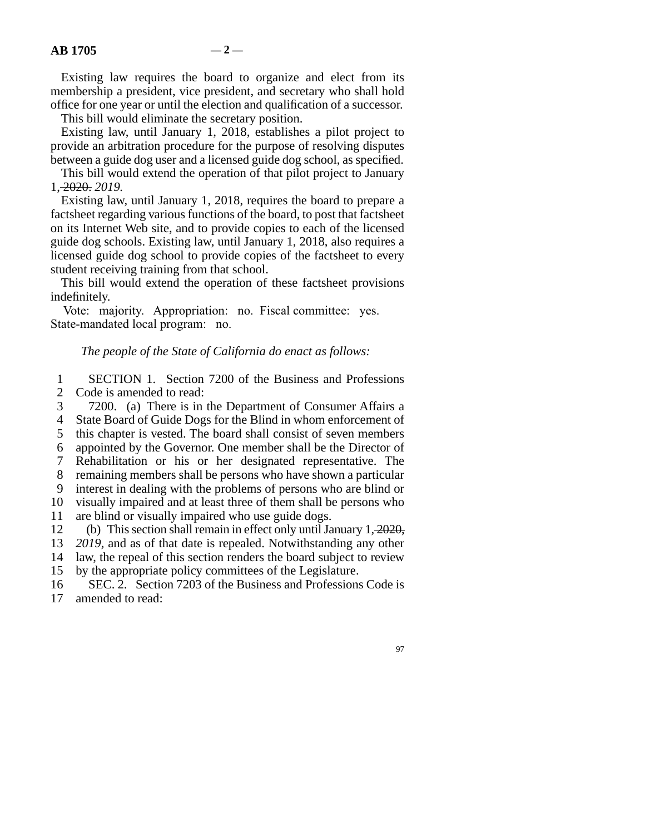Existing law requires the board to organize and elect from its membership a president, vice president, and secretary who shall hold office for one year or until the election and qualification of a successor.

This bill would eliminate the secretary position.

Existing law, until January 1, 2018, establishes a pilot project to provide an arbitration procedure for the purpose of resolving disputes between a guide dog user and a licensed guide dog school, as specified.

This bill would extend the operation of that pilot project to January 1, 2020. *2019.*

Existing law, until January 1, 2018, requires the board to prepare a factsheet regarding various functions of the board, to post that factsheet on its Internet Web site, and to provide copies to each of the licensed guide dog schools. Existing law, until January 1, 2018, also requires a licensed guide dog school to provide copies of the factsheet to every student receiving training from that school.

This bill would extend the operation of these factsheet provisions indefinitely.

Vote: majority. Appropriation: no. Fiscal committee: yes. State-mandated local program: no.

# *The people of the State of California do enact as follows:*

1 SECTION 1. Section 7200 of the Business and Professions 2 Code is amended to read:

- 3 7200. (a) There is in the Department of Consumer Affairs a
- 4 State Board of Guide Dogs for the Blind in whom enforcement of
- 5 this chapter is vested. The board shall consist of seven members
- line 6 appointed by the Governor. One member shall be the Director of
- 7 Rehabilitation or his or her designated representative. The
- 8 remaining members shall be persons who have shown a particular

line 9 interest in dealing with the problems of persons who are blind or

10 visually impaired and at least three of them shall be persons who

11 are blind or visually impaired who use guide dogs.

12 (b) This section shall remain in effect only until January  $1, \frac{2020}{3}$ ,

- 13 *2019*, and as of that date is repealed. Notwithstanding any other
- 14 law, the repeal of this section renders the board subject to review
- 15 by the appropriate policy committees of the Legislature.
- 16 SEC. 2. Section 7203 of the Business and Professions Code is 17 amended to read: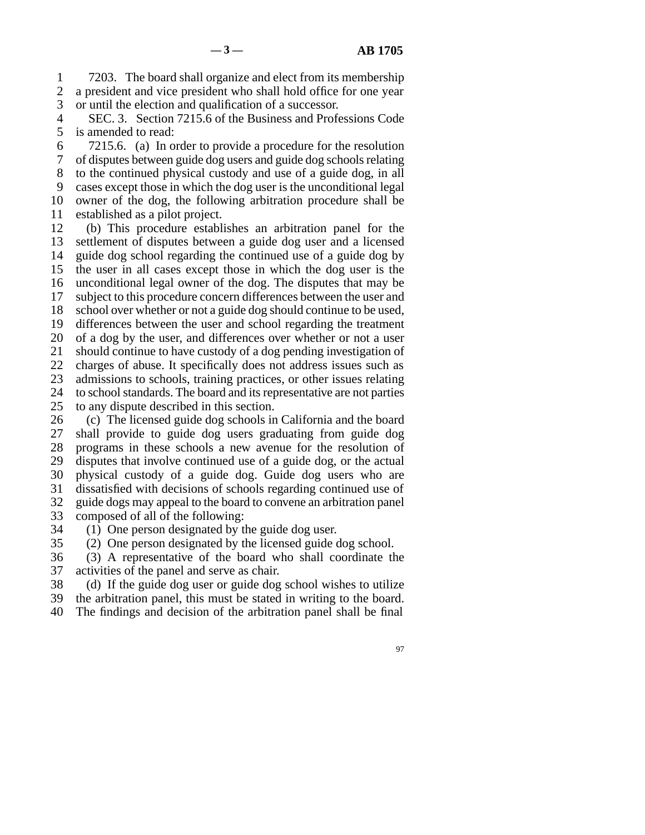1 7203. The board shall organize and elect from its membership 2 a president and vice president who shall hold office for one year<br>3 or until the election and qualification of a successor. or until the election and qualification of a successor.

4 SEC. 3. Section 7215.6 of the Business and Professions Code 5 is amended to read:

 line 6 7215.6. (a) In order to provide a procedure for the resolution line 7 of disputes between guide dog users and guide dog schools relating 8 to the continued physical custody and use of a guide dog, in all 9 cases except those in which the dog user is the unconditional legal 10 owner of the dog, the following arbitration procedure shall be 11 established as a pilot project.

12 (b) This procedure establishes an arbitration panel for the 13 settlement of disputes between a guide dog user and a licensed 14 guide dog school regarding the continued use of a guide dog by 15 the user in all cases except those in which the dog user is the 16 unconditional legal owner of the dog. The disputes that may be 17 subject to this procedure concern differences between the user and 18 school over whether or not a guide dog should continue to be used, 19 differences between the user and school regarding the treatment 20 of a dog by the user, and differences over whether or not a user 21 should continue to have custody of a dog pending investigation of 22 charges of abuse. It specifically does not address issues such as 23 admissions to schools, training practices, or other issues relating 24 to school standards. The board and its representative are not parties 25 to any dispute described in this section. to any dispute described in this section.

26 (c) The licensed guide dog schools in California and the board<br>27 shall provide to guide dog users graduating from guide dog shall provide to guide dog users graduating from guide dog 28 programs in these schools a new avenue for the resolution of 29 disputes that involve continued use of a guide dog, or the actual 30 physical custody of a guide dog. Guide dog users who are 31 dissatisfied with decisions of schools regarding continued use of 32 guide dogs may appeal to the board to convene an arbitration panel 33 composed of all of the following:

34 (1) One person designated by the guide dog user.

35 (2) One person designated by the licensed guide dog school.

36 (3) A representative of the board who shall coordinate the 37 activities of the panel and serve as chair.

38 (d) If the guide dog user or guide dog school wishes to utilize

39 the arbitration panel, this must be stated in writing to the board.

40 The findings and decision of the arbitration panel shall be final

97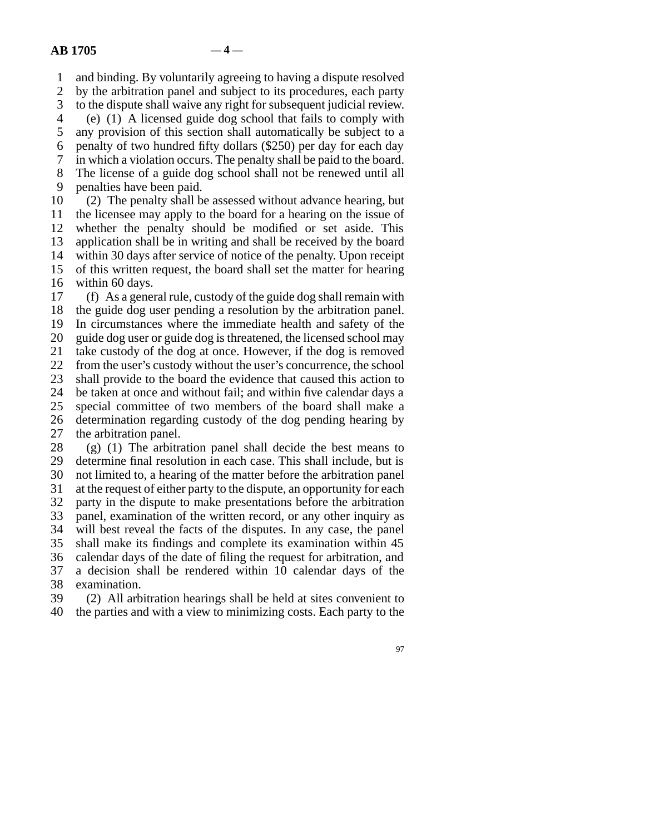line 1 and binding. By voluntarily agreeing to having a dispute resolved 2 by the arbitration panel and subject to its procedures, each party<br>3 to the dispute shall waive any right for subsequent judicial review.

to the dispute shall waive any right for subsequent judicial review. line 4 (e) (1) A licensed guide dog school that fails to comply with

5 any provision of this section shall automatically be subject to a

6 penalty of two hundred fifty dollars  $(\$250)$  per day for each day

line 7 in which a violation occurs. The penalty shall be paid to the board.

8 The license of a guide dog school shall not be renewed until all

9 penalties have been paid.

10 (2) The penalty shall be assessed without advance hearing, but 11 the licensee may apply to the board for a hearing on the issue of 12 whether the penalty should be modified or set aside. This 13 application shall be in writing and shall be received by the board 14 within 30 days after service of notice of the penalty. Upon receipt 15 of this written request, the board shall set the matter for hearing 16 within 60 days.

17 (f) As a general rule, custody of the guide dog shall remain with 18 the guide dog user pending a resolution by the arbitration panel. 19 In circumstances where the immediate health and safety of the 20 guide dog user or guide dog is threatened, the licensed school may 21 take custody of the dog at once. However, if the dog is removed 22 from the user's custody without the user's concurrence, the school 23 shall provide to the board the evidence that caused this action to 24 be taken at once and without fail; and within five calendar days a<br>25 special committee of two members of the board shall make a special committee of two members of the board shall make a 26 determination regarding custody of the dog pending hearing by 27 the arbitration panel. 28 (g) (1) The arbitration panel shall decide the best means to

29 determine final resolution in each case. This shall include, but is 30 not limited to, a hearing of the matter before the arbitration panel 31 at the request of either party to the dispute, an opportunity for each 32 party in the dispute to make presentations before the arbitration 33 panel, examination of the written record, or any other inquiry as 34 will best reveal the facts of the disputes. In any case, the panel 35 shall make its findings and complete its examination within 45 36 calendar days of the date of filing the request for arbitration, and 37 a decision shall be rendered within 10 calendar days of the 38 examination.

39 (2) All arbitration hearings shall be held at sites convenient to 40 the parties and with a view to minimizing costs. Each party to the

97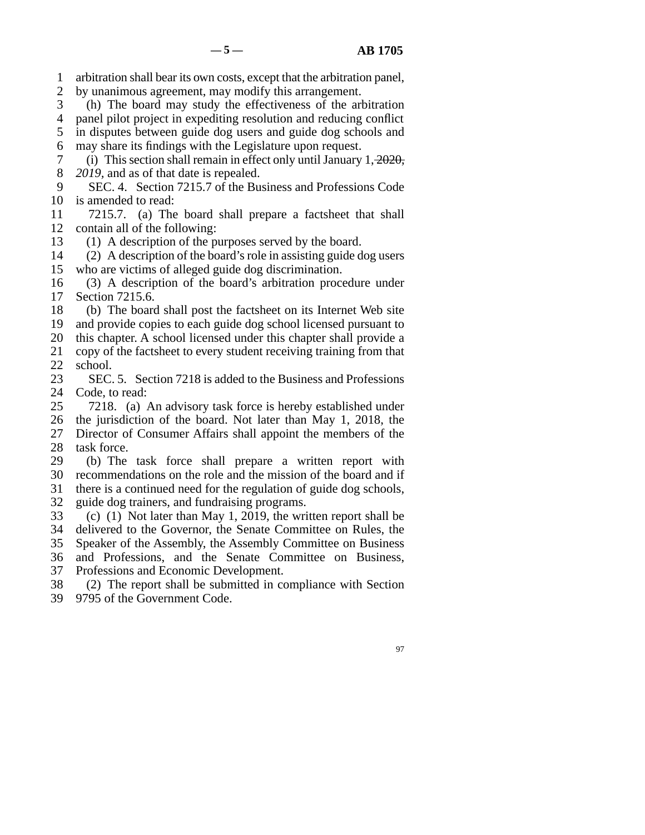- line 1 arbitration shall bear its own costs, except that the arbitration panel,
- 2 by unanimous agreement, may modify this arrangement.
- 3 (h) The board may study the effectiveness of the arbitration
- 4 panel pilot project in expediting resolution and reducing conflict
- 5 in disputes between guide dog users and guide dog schools and 6 may share its findings with the Legislature upon request.
- 7 (i) This section shall remain in effect only until January  $1, \frac{2020}{3}$ , 8 *2019*, and as of that date is repealed.
- 9 SEC. 4. Section 7215.7 of the Business and Professions Code 10 is amended to read:
- 11 7215.7. (a) The board shall prepare a factsheet that shall 12 contain all of the following:
- 
- 13 (1) A description of the purposes served by the board.<br>14 (2) A description of the board's role in assisting guide d  $\lambda$  (2) A description of the board's role in assisting guide dog users 15 who are victims of alleged guide dog discrimination.
- 16 (3) A description of the board's arbitration procedure under 17 Section 7215.6.
- 18 (b) The board shall post the factsheet on its Internet Web site 19 and provide copies to each guide dog school licensed pursuant to 20 this chapter. A school licensed under this chapter shall provide a
- 21 copy of the factsheet to every student receiving training from that
- $\begin{array}{cc} 22 & \text{school.} \\ 23 & \text{SEC.} \end{array}$ SEC. 5. Section 7218 is added to the Business and Professions
- 24 Code, to read:<br>25 7218. (a) 7218. (a) An advisory task force is hereby established under 26 the jurisdiction of the board. Not later than May 1, 2018, the 27 Director of Consumer Affairs shall appoint the members of the
- 28 task force.
- 29 (b) The task force shall prepare a written report with 30 recommendations on the role and the mission of the board and if 31 there is a continued need for the regulation of guide dog schools,
- 32 guide dog trainers, and fundraising programs.
- 33 (c) (1) Not later than May 1, 2019, the written report shall be
- 34 delivered to the Governor, the Senate Committee on Rules, the
- 35 Speaker of the Assembly, the Assembly Committee on Business
- 36 and Professions, and the Senate Committee on Business,
- 37 Professions and Economic Development.
- 38 (2) The report shall be submitted in compliance with Section
- 39 9795 of the Government Code.